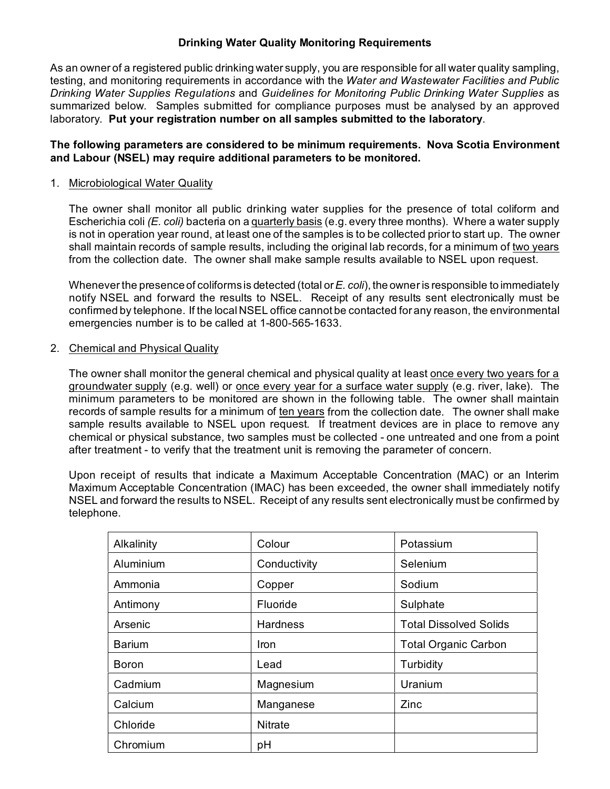## **Drinking Water Quality Monitoring Requirements**

As an owner of a registered public drinking water supply, you are responsible for all water quality sampling, testing, and monitoring requirements in accordance with the *Water and Wastewater Facilities and Public Drinking Water Supplies Regulations* and *Guidelines for Monitoring Public Drinking Water Supplies* as summarized below. Samples submitted for compliance purposes must be analysed by an approved laboratory. **Put your registration number on all samples submitted to the laboratory**.

## **The following parameters are considered to be minimum requirements. Nova Scotia Environment and Labour (NSEL) may require additional parameters to be monitored.**

#### 1. Microbiological Water Quality

The owner shall monitor all public drinking water supplies for the presence of total coliform and Escherichia coli *(E. coli)* bacteria on a quarterly basis (e.g. every three months). Where a water supply is not in operation year round, at least one of the samples is to be collected prior to start up. The owner shall maintain records of sample results, including the original lab records, for a minimum of two years from the collection date. The owner shall make sample results available to NSEL upon request.

Whenever the presence of coliforms is detected (total or*E. coli*), the owner is responsible to immediately notify NSEL and forward the results to NSEL. Receipt of any results sent electronically must be confirmed by telephone. If the local NSEL office cannot be contacted for any reason, the environmental emergencies number is to be called at 1-800-565-1633.

#### 2. Chemical and Physical Quality

The owner shall monitor the general chemical and physical quality at least once every two years for a groundwater supply (e.g. well) or once every year for a surface water supply (e.g. river, lake). The minimum parameters to be monitored are shown in the following table. The owner shall maintain records of sample results for a minimum of ten years from the collection date. The owner shall make sample results available to NSEL upon request. If treatment devices are in place to remove any chemical or physical substance, two samples must be collected - one untreated and one from a point after treatment - to verify that the treatment unit is removing the parameter of concern.

Upon receipt of results that indicate a Maximum Acceptable Concentration (MAC) or an Interim Maximum Acceptable Concentration (IMAC) has been exceeded, the owner shall immediately notify NSEL and forward the results to NSEL. Receipt of any results sent electronically must be confirmed by telephone.

| Alkalinity    | Colour          | Potassium                     |
|---------------|-----------------|-------------------------------|
| Aluminium     | Conductivity    | Selenium                      |
| Ammonia       | Copper          | Sodium                        |
| Antimony      | Fluoride        | Sulphate                      |
| Arsenic       | <b>Hardness</b> | <b>Total Dissolved Solids</b> |
| <b>Barium</b> | Iron            | <b>Total Organic Carbon</b>   |
| <b>Boron</b>  | Lead            | Turbidity                     |
| Cadmium       | Magnesium       | Uranium                       |
| Calcium       | Manganese       | Zinc                          |
| Chloride      | <b>Nitrate</b>  |                               |
| Chromium      | pH              |                               |